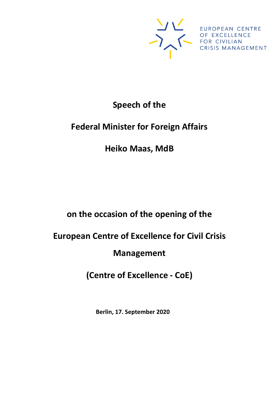

#### **Speech of the**

## **Federal Minister for Foreign Affairs**

## **Heiko Maas, MdB**

# **on the occasion of the opening of the**

# **European Centre of Excellence for Civil Crisis**

### **Management**

# **(Centre of Excellence - CoE)**

**Berlin, 17. September 2020**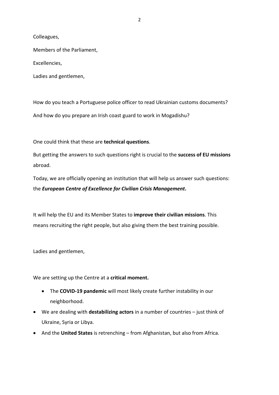Colleagues,

Members of the Parliament,

Excellencies,

Ladies and gentlemen,

How do you teach a Portuguese police officer to read Ukrainian customs documents? And how do you prepare an Irish coast guard to work in Mogadishu?

One could think that these are **technical questions**.

But getting the answers to such questions right is crucial to the **success of EU missions** abroad.

Today, we are officially opening an institution that will help us answer such questions: the *European Centre of Excellence for Civilian Crisis Management***.**

It will help the EU and its Member States to **improve their civilian missions**. This means recruiting the right people, but also giving them the best training possible.

Ladies and gentlemen,

We are setting up the Centre at a **critical moment.**

- The **COVID-19 pandemic** will most likely create further instability in our neighborhood.
- We are dealing with **destabilizing actors** in a number of countries just think of Ukraine, Syria or Libya.
- And the **United States** is retrenching from Afghanistan, but also from Africa.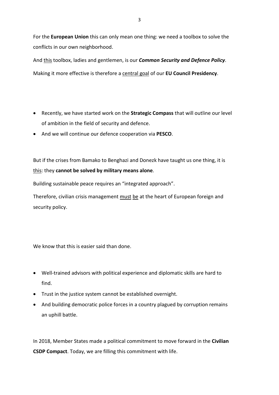For the **European Union** this can only mean one thing: we need a toolbox to solve the conflicts in our own neighborhood.

And this toolbox, ladies and gentlemen, is our *Common Security and Defence Policy*. Making it more effective is therefore a central goal of our **EU Council Presidency**.

- Recently, we have started work on the **Strategic Compass** that will outline our level of ambition in the field of security and defence.
- And we will continue our defence cooperation via **PESCO**.

But if the crises from Bamako to Benghazi and Donezk have taught us one thing, it is this: they **cannot be solved by military means alone**.

Building sustainable peace requires an "integrated approach".

Therefore, civilian crisis management must be at the heart of European foreign and security policy.

We know that this is easier said than done.

- Well-trained advisors with political experience and diplomatic skills are hard to find.
- Trust in the justice system cannot be established overnight.
- And building democratic police forces in a country plagued by corruption remains an uphill battle.

In 2018, Member States made a political commitment to move forward in the **Civilian CSDP Compact**. Today, we are filling this commitment with life.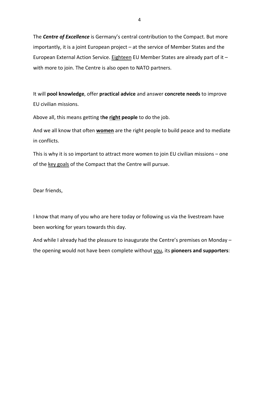The *Centre of Excellence* is Germany's central contribution to the Compact. But more importantly, it is a joint European project – at the service of Member States and the European External Action Service. Eighteen EU Member States are already part of it with more to join. The Centre is also open to NATO partners.

It will **pool knowledge**, offer **practical advice** and answer **concrete needs** to improve EU civilian missions.

Above all, this means getting t**he right people** to do the job.

And we all know that often **women** are the right people to build peace and to mediate in conflicts.

This is why it is so important to attract more women to join EU civilian missions – one of the key goals of the Compact that the Centre will pursue.

Dear friends,

I know that many of you who are here today or following us via the livestream have been working for years towards this day.

And while I already had the pleasure to inaugurate the Centre's premises on Monday – the opening would not have been complete without you, its **pioneers and supporters**: